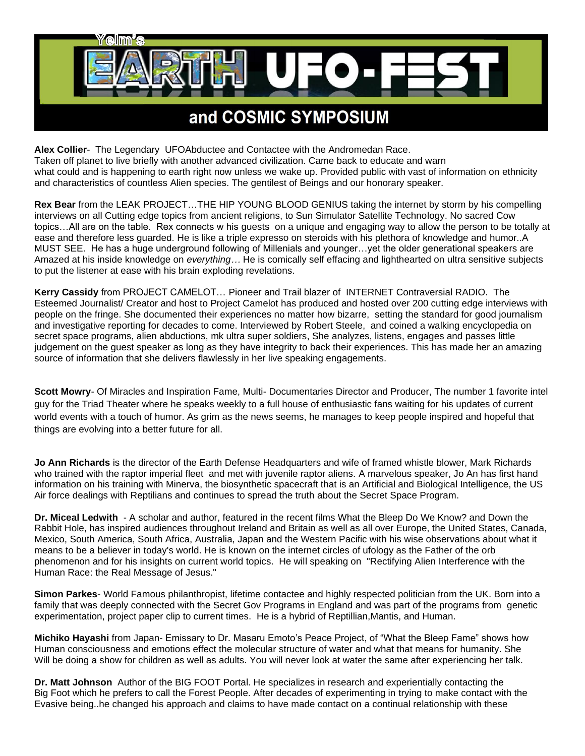

**Alex Collier**- The Legendary UFOAbductee and Contactee with the Andromedan Race. Taken off planet to live briefly with another advanced civilization. Came back to educate and warn what could and is happening to earth right now unless we wake up. Provided public with vast of information on ethnicity and characteristics of countless Alien species. The gentilest of Beings and our honorary speaker.

**Rex Bear** from the LEAK PROJECT…THE HIP YOUNG BLOOD GENIUS taking the internet by storm by his compelling interviews on all Cutting edge topics from ancient religions, to Sun Simulator Satellite Technology. No sacred Cow topics…All are on the table. Rex connects w his guests on a unique and engaging way to allow the person to be totally at ease and therefore less guarded. He is like a triple expresso on steroids with his plethora of knowledge and humor..A MUST SEE. He has a huge underground following of Millenials and younger…yet the older generational speakers are Amazed at his inside knowledge on *everything…* He is comically self effacing and lighthearted on ultra sensitive subjects to put the listener at ease with his brain exploding revelations.

**Kerry Cassidy** from PROJECT CAMELOT… Pioneer and Trail blazer of INTERNET Contraversial RADIO. The Esteemed Journalist/ Creator and host to Project Camelot has produced and hosted over 200 cutting edge interviews with people on the fringe. She documented their experiences no matter how bizarre, setting the standard for good journalism and investigative reporting for decades to come. Interviewed by Robert Steele, and coined a walking encyclopedia on secret space programs, alien abductions, mk ultra super soldiers, She analyzes, listens, engages and passes little judgement on the guest speaker as long as they have integrity to back their experiences. This has made her an amazing source of information that she delivers flawlessly in her live speaking engagements.

**Scott Mowry**- Of Miracles and Inspiration Fame, Multi- Documentaries Director and Producer, The number 1 favorite intel guy for the Triad Theater where he speaks weekly to a full house of enthusiastic fans waiting for his updates of current world events with a touch of humor. As grim as the news seems, he manages to keep people inspired and hopeful that things are evolving into a better future for all.

**Jo Ann Richards** is the director of the Earth Defense Headquarters and wife of framed whistle blower, Mark Richards who trained with the raptor imperial fleet and met with juvenile raptor aliens. A marvelous speaker, Jo An has first hand information on his training with Minerva, the biosynthetic spacecraft that is an Artificial and Biological Intelligence, the US Air force dealings with Reptilians and continues to spread the truth about the Secret Space Program.

**Dr. Miceal Ledwith** - A scholar and author, featured in the recent films What the Bleep Do We Know? and Down the Rabbit Hole, has inspired audiences throughout Ireland and Britain as well as all over Europe, the United States, Canada, Mexico, South America, South Africa, Australia, Japan and the Western Pacific with his wise observations about what it means to be a believer in today's world. He is known on the internet circles of ufology as the Father of the orb phenomenon and for his insights on current world topics. He will speaking on "Rectifying Alien Interference with the Human Race: the Real Message of Jesus."

**Simon Parkes**- World Famous philanthropist, lifetime contactee and highly respected politician from the UK. Born into a family that was deeply connected with the Secret Gov Programs in England and was part of the programs from genetic experimentation, project paper clip to current times. He is a hybrid of Reptillian,Mantis, and Human.

**Michiko Hayashi** from Japan- Emissary to Dr. Masaru Emoto's Peace Project, of "What the Bleep Fame" shows how Human consciousness and emotions effect the molecular structure of water and what that means for humanity. She Will be doing a show for children as well as adults. You will never look at water the same after experiencing her talk.

**Dr. Matt Johnson** Author of the BIG FOOT Portal. He specializes in research and experientially contacting the Big Foot which he prefers to call the Forest People. After decades of experimenting in trying to make contact with the Evasive being..he changed his approach and claims to have made contact on a continual relationship with these